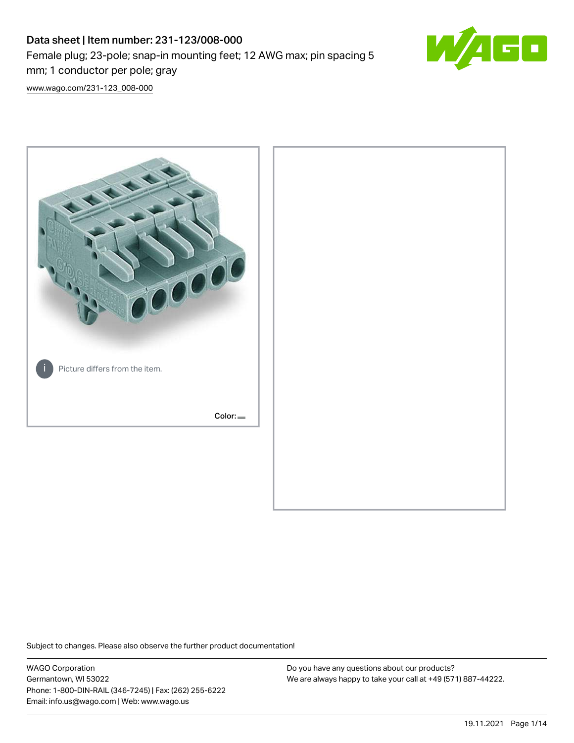# Data sheet | Item number: 231-123/008-000 Female plug; 23-pole; snap-in mounting feet; 12 AWG max; pin spacing 5 mm; 1 conductor per pole; gray



[www.wago.com/231-123\\_008-000](http://www.wago.com/231-123_008-000)



Subject to changes. Please also observe the further product documentation!

WAGO Corporation Germantown, WI 53022 Phone: 1-800-DIN-RAIL (346-7245) | Fax: (262) 255-6222 Email: info.us@wago.com | Web: www.wago.us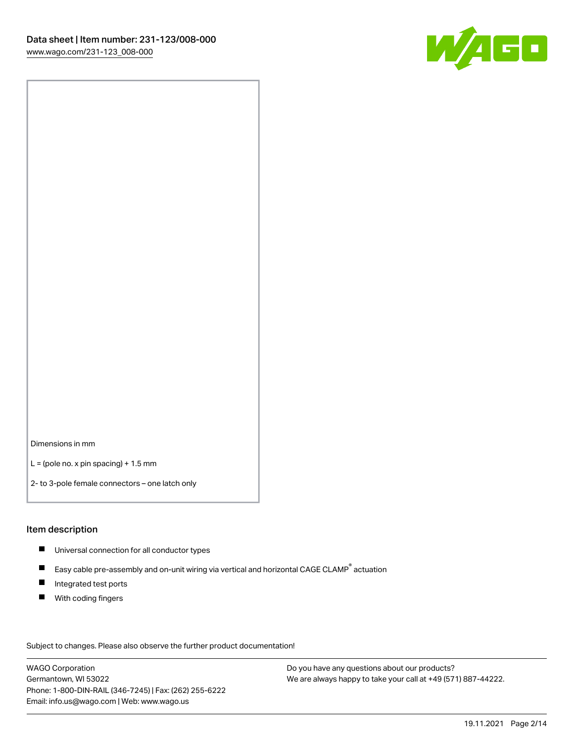

Dimensions in mm

 $L =$  (pole no. x pin spacing) + 1.5 mm

2- to 3-pole female connectors – one latch only

#### Item description

- **Universal connection for all conductor types**
- Easy cable pre-assembly and on-unit wiring via vertical and horizontal CAGE CLAMP<sup>®</sup> actuation  $\blacksquare$
- $\blacksquare$ Integrated test ports
- $\blacksquare$ With coding fingers

Subject to changes. Please also observe the further product documentation! Data

WAGO Corporation Germantown, WI 53022 Phone: 1-800-DIN-RAIL (346-7245) | Fax: (262) 255-6222 Email: info.us@wago.com | Web: www.wago.us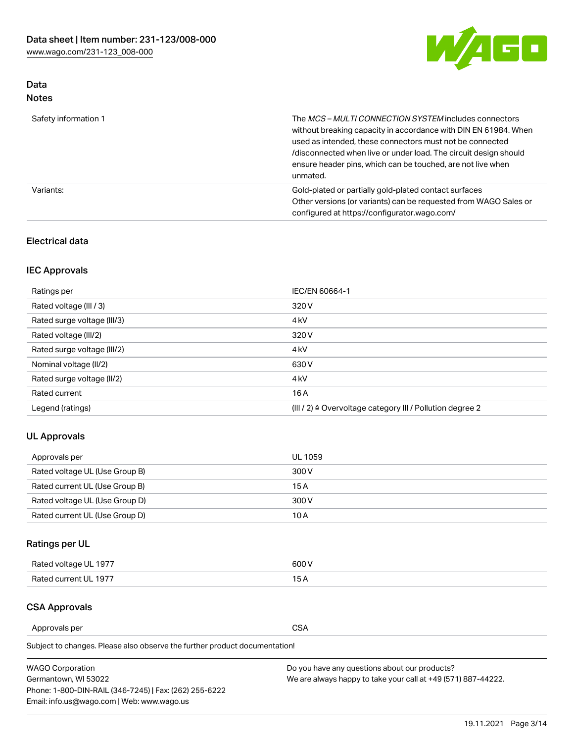

## Data Notes

| Safety information 1 | The MCS-MULTI CONNECTION SYSTEM includes connectors<br>without breaking capacity in accordance with DIN EN 61984. When<br>used as intended, these connectors must not be connected<br>/disconnected when live or under load. The circuit design should<br>ensure header pins, which can be touched, are not live when<br>unmated. |
|----------------------|-----------------------------------------------------------------------------------------------------------------------------------------------------------------------------------------------------------------------------------------------------------------------------------------------------------------------------------|
| Variants:            | Gold-plated or partially gold-plated contact surfaces<br>Other versions (or variants) can be requested from WAGO Sales or<br>configured at https://configurator.wago.com/                                                                                                                                                         |

### Electrical data

## IEC Approvals

| Ratings per                 | IEC/EN 60664-1                                                        |
|-----------------------------|-----------------------------------------------------------------------|
| Rated voltage (III / 3)     | 320 V                                                                 |
| Rated surge voltage (III/3) | 4 <sub>k</sub> V                                                      |
| Rated voltage (III/2)       | 320 V                                                                 |
| Rated surge voltage (III/2) | 4 <sub>k</sub> V                                                      |
| Nominal voltage (II/2)      | 630 V                                                                 |
| Rated surge voltage (II/2)  | 4 <sub>k</sub> V                                                      |
| Rated current               | 16A                                                                   |
| Legend (ratings)            | $(III / 2)$ $\triangle$ Overvoltage category III / Pollution degree 2 |

### UL Approvals

| Approvals per                  | UL 1059 |
|--------------------------------|---------|
| Rated voltage UL (Use Group B) | 300 V   |
| Rated current UL (Use Group B) | 15 A    |
| Rated voltage UL (Use Group D) | 300 V   |
| Rated current UL (Use Group D) | 10 A    |

## Ratings per UL

| Rated voltage UL 1977 | 300 V |
|-----------------------|-------|
| Rated current UL 1977 |       |

### CSA Approvals

Approvals per CSA

Subject to changes. Please also observe the further product documentation!

| <b>WAGO Corporation</b>                                | Do you have any questions about our products?                 |
|--------------------------------------------------------|---------------------------------------------------------------|
| Germantown, WI 53022                                   | We are always happy to take your call at +49 (571) 887-44222. |
| Phone: 1-800-DIN-RAIL (346-7245)   Fax: (262) 255-6222 |                                                               |
| Email: info.us@wago.com   Web: www.wago.us             |                                                               |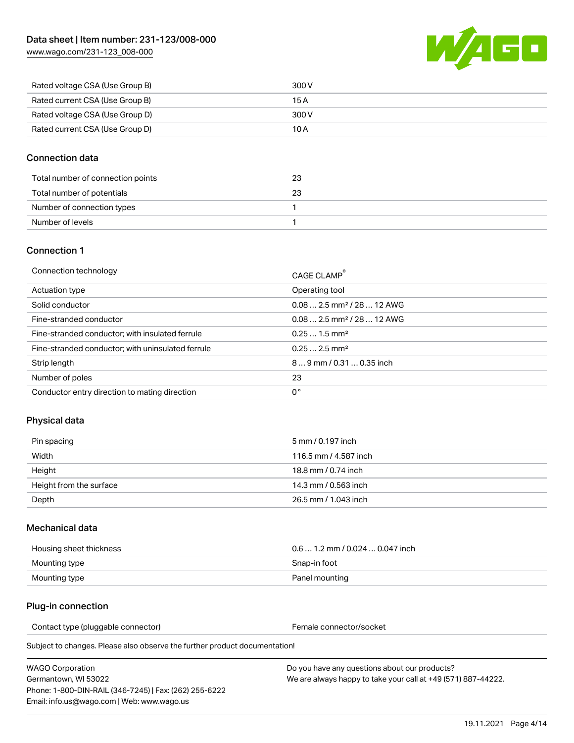

| Rated voltage CSA (Use Group B) | 300 V |
|---------------------------------|-------|
| Rated current CSA (Use Group B) | 15 A  |
| Rated voltage CSA (Use Group D) | 300 V |
| Rated current CSA (Use Group D) | 10 A  |

#### Connection data

| Total number of connection points | 23 |
|-----------------------------------|----|
| Total number of potentials        | 23 |
| Number of connection types        |    |
| Number of levels                  |    |

#### Connection 1

| Connection technology                             | CAGE CLAMP®                            |
|---------------------------------------------------|----------------------------------------|
| Actuation type                                    | Operating tool                         |
| Solid conductor                                   | $0.082.5$ mm <sup>2</sup> / 28  12 AWG |
| Fine-stranded conductor                           | $0.082.5$ mm <sup>2</sup> / 28  12 AWG |
| Fine-stranded conductor; with insulated ferrule   | $0.251.5$ mm <sup>2</sup>              |
| Fine-stranded conductor; with uninsulated ferrule | $0.252.5$ mm <sup>2</sup>              |
| Strip length                                      | $89$ mm $/ 0.310.35$ inch              |
| Number of poles                                   | 23                                     |
| Conductor entry direction to mating direction     | 0°                                     |

### Physical data

| Pin spacing             | 5 mm / 0.197 inch     |
|-------------------------|-----------------------|
| Width                   | 116.5 mm / 4.587 inch |
| Height                  | 18.8 mm / 0.74 inch   |
| Height from the surface | 14.3 mm / 0.563 inch  |
| Depth                   | 26.5 mm / 1.043 inch  |

#### Mechanical data

| Housing sheet thickness | $0.61.2$ mm / 0.024  0.047 inch |
|-------------------------|---------------------------------|
| Mounting type           | Snap-in foot                    |
| Mounting type           | Panel mounting                  |

#### Plug-in connection

Contact type (pluggable connector) example a set of the Female connector/socket

Subject to changes. Please also observe the further product documentation!

| WAGO Corporation                                       |  |
|--------------------------------------------------------|--|
| Germantown. WI 53022                                   |  |
| Phone: 1-800-DIN-RAIL (346-7245)   Fax: (262) 255-6222 |  |
| Email: info.us@wago.com   Web: www.wago.us             |  |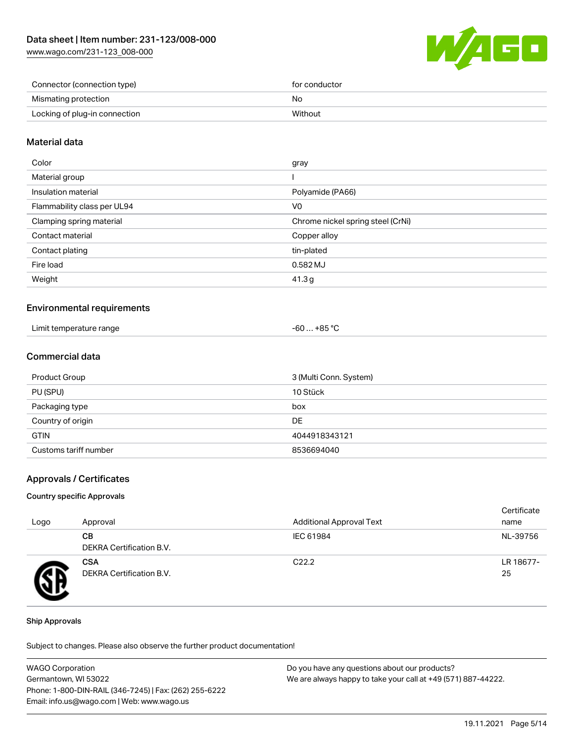

| Connector (connection type)   | for conductor |
|-------------------------------|---------------|
| Mismating protection          | No            |
| Locking of plug-in connection | Without       |

#### Material data

| Color                       | gray                              |
|-----------------------------|-----------------------------------|
| Material group              |                                   |
| Insulation material         | Polyamide (PA66)                  |
| Flammability class per UL94 | V0                                |
| Clamping spring material    | Chrome nickel spring steel (CrNi) |
| Contact material            | Copper alloy                      |
| Contact plating             | tin-plated                        |
| Fire load                   | 0.582 MJ                          |
| Weight                      | 41.3g                             |
|                             |                                   |

#### Environmental requirements

| Limit temperature range | . +85 °ົ<br>-60 |  |
|-------------------------|-----------------|--|
|-------------------------|-----------------|--|

### Commercial data

| Product Group         | 3 (Multi Conn. System) |
|-----------------------|------------------------|
| PU (SPU)              | 10 Stück               |
| Packaging type        | box                    |
| Country of origin     | DE                     |
| <b>GTIN</b>           | 4044918343121          |
| Customs tariff number | 8536694040             |

#### Approvals / Certificates

#### Country specific Approvals

| Logo | Approval                               | <b>Additional Approval Text</b> | Certificate<br>name |
|------|----------------------------------------|---------------------------------|---------------------|
|      | CВ<br><b>DEKRA Certification B.V.</b>  | IEC 61984                       | NL-39756            |
|      | <b>CSA</b><br>DEKRA Certification B.V. | C <sub>22.2</sub>               | LR 18677-<br>25     |

#### Ship Approvals

Subject to changes. Please also observe the further product documentation!

| <b>WAGO Corporation</b>                                | Do you have any questions about our products?                 |
|--------------------------------------------------------|---------------------------------------------------------------|
| Germantown, WI 53022                                   | We are always happy to take your call at +49 (571) 887-44222. |
| Phone: 1-800-DIN-RAIL (346-7245)   Fax: (262) 255-6222 |                                                               |
| Email: info.us@wago.com   Web: www.wago.us             |                                                               |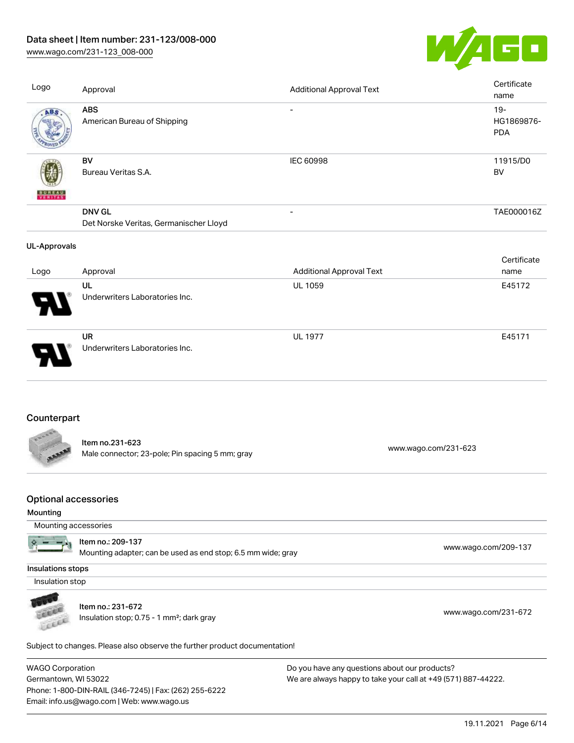## Data sheet | Item number: 231-123/008-000

[www.wago.com/231-123\\_008-000](http://www.wago.com/231-123_008-000)



| Logo                                    | Approval                                                                          | <b>Additional Approval Text</b> | Certificate<br>name                |
|-----------------------------------------|-----------------------------------------------------------------------------------|---------------------------------|------------------------------------|
| ABS                                     | <b>ABS</b><br>American Bureau of Shipping                                         | $\overline{\phantom{a}}$        | $19 -$<br>HG1869876-<br><b>PDA</b> |
|                                         | BV<br>Bureau Veritas S.A.                                                         | <b>IEC 60998</b>                | 11915/D0<br><b>BV</b>              |
|                                         | <b>DNV GL</b><br>Det Norske Veritas, Germanischer Lloyd                           | $\overline{a}$                  | TAE000016Z                         |
| <b>UL-Approvals</b>                     |                                                                                   |                                 |                                    |
| Logo                                    | Approval                                                                          | <b>Additional Approval Text</b> | Certificate<br>name                |
|                                         | UL                                                                                | UL 1059                         | E45172                             |
|                                         | Underwriters Laboratories Inc.                                                    |                                 |                                    |
|                                         | <b>UR</b><br>Underwriters Laboratories Inc.                                       | <b>UL 1977</b>                  | E45171                             |
| Counterpart                             | Item no.231-623<br>Male connector; 23-pole; Pin spacing 5 mm; gray                |                                 | www.wago.com/231-623               |
| <b>Optional accessories</b><br>Mounting |                                                                                   |                                 |                                    |
| Mounting accessories                    |                                                                                   |                                 |                                    |
|                                         | Item no.: 209-137<br>Mounting adapter; can be used as end stop; 6.5 mm wide; gray |                                 | www.wago.com/209-137               |
| Insulations stops                       |                                                                                   |                                 |                                    |
| Insulation stop                         |                                                                                   |                                 |                                    |
|                                         |                                                                                   |                                 |                                    |

Cecce

Item no.: 231-672 Insulation stop; 0.75 - 1 mm²; dark gray [www.wago.com/231-672](http://www.wago.com/231-672)

Subject to changes. Please also observe the further product documentation!

WAGO Corporation Germantown, WI 53022 Phone: 1-800-DIN-RAIL (346-7245) | Fax: (262) 255-6222 Email: info.us@wago.com | Web: www.wago.us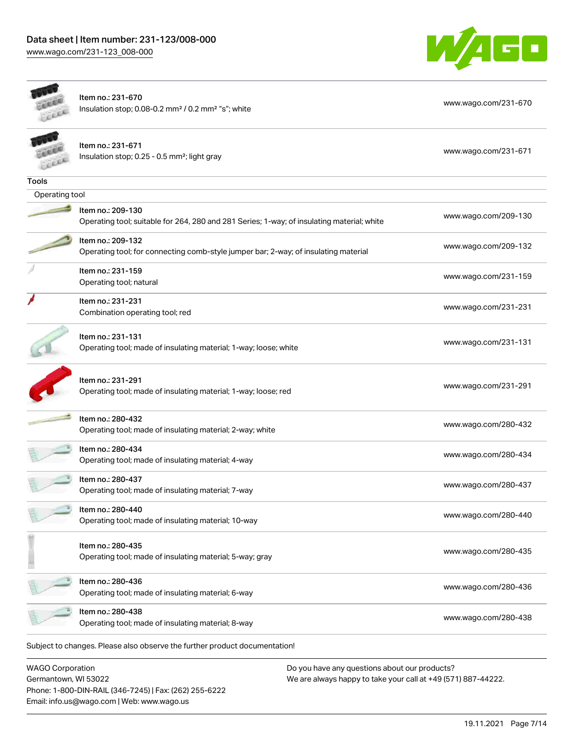Germantown, WI 53022

Phone: 1-800-DIN-RAIL (346-7245) | Fax: (262) 255-6222

Email: info.us@wago.com | Web: www.wago.us



|                         | Item no.: 231-670<br>Insulation stop; 0.08-0.2 mm <sup>2</sup> / 0.2 mm <sup>2</sup> "s"; white                 | www.wago.com/231-670                          |
|-------------------------|-----------------------------------------------------------------------------------------------------------------|-----------------------------------------------|
|                         | Item no.: 231-671<br>Insulation stop; 0.25 - 0.5 mm <sup>2</sup> ; light gray                                   | www.wago.com/231-671                          |
| <b>Tools</b>            |                                                                                                                 |                                               |
| Operating tool          |                                                                                                                 |                                               |
|                         | Item no.: 209-130<br>Operating tool; suitable for 264, 280 and 281 Series; 1-way; of insulating material; white | www.wago.com/209-130                          |
|                         | Item no.: 209-132<br>Operating tool; for connecting comb-style jumper bar; 2-way; of insulating material        | www.wago.com/209-132                          |
|                         | Item no.: 231-159<br>Operating tool; natural                                                                    | www.wago.com/231-159                          |
|                         | Item no.: 231-231<br>Combination operating tool; red                                                            | www.wago.com/231-231                          |
|                         | Item no.: 231-131<br>Operating tool; made of insulating material; 1-way; loose; white                           | www.wago.com/231-131                          |
|                         | Item no.: 231-291<br>Operating tool; made of insulating material; 1-way; loose; red                             | www.wago.com/231-291                          |
|                         | Item no.: 280-432<br>Operating tool; made of insulating material; 2-way; white                                  | www.wago.com/280-432                          |
|                         | Item no.: 280-434<br>Operating tool; made of insulating material; 4-way                                         | www.wago.com/280-434                          |
|                         | Item no.: 280-437<br>Operating tool; made of insulating material; 7-way                                         | www.wago.com/280-437                          |
|                         | Item no.: 280-440<br>Operating tool; made of insulating material; 10-way                                        | www.wago.com/280-440                          |
|                         | Item no.: 280-435<br>Operating tool; made of insulating material; 5-way; gray                                   | www.wago.com/280-435                          |
|                         | Item no.: 280-436<br>Operating tool; made of insulating material; 6-way                                         | www.wago.com/280-436                          |
|                         | Item no.: 280-438<br>Operating tool; made of insulating material; 8-way                                         | www.wago.com/280-438                          |
|                         | Subject to changes. Please also observe the further product documentation!                                      |                                               |
| <b>WAGO Corporation</b> |                                                                                                                 | Do you have any questions about our products? |

19.11.2021 Page 7/14

We are always happy to take your call at +49 (571) 887-44222.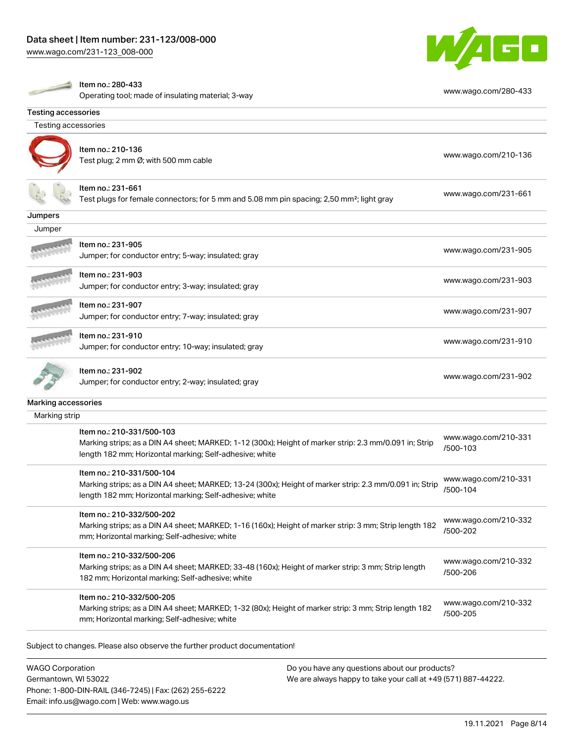

|                            | Item no.: 280-433<br>Operating tool; made of insulating material; 3-way                                                                                                                         | www.wago.com/280-433             |
|----------------------------|-------------------------------------------------------------------------------------------------------------------------------------------------------------------------------------------------|----------------------------------|
| <b>Testing accessories</b> |                                                                                                                                                                                                 |                                  |
| <b>Testing accessories</b> |                                                                                                                                                                                                 |                                  |
|                            | Item no.: 210-136<br>Test plug; 2 mm Ø; with 500 mm cable                                                                                                                                       | www.wago.com/210-136             |
|                            | Item no.: 231-661<br>Test plugs for female connectors; for 5 mm and 5.08 mm pin spacing; 2,50 mm <sup>2</sup> ; light gray                                                                      | www.wago.com/231-661             |
| Jumpers                    |                                                                                                                                                                                                 |                                  |
| Jumper                     |                                                                                                                                                                                                 |                                  |
|                            | Item no.: 231-905<br>Jumper; for conductor entry; 5-way; insulated; gray                                                                                                                        | www.wago.com/231-905             |
|                            | Item no.: 231-903<br>Jumper; for conductor entry; 3-way; insulated; gray                                                                                                                        | www.wago.com/231-903             |
|                            | Item no.: 231-907<br>Jumper; for conductor entry; 7-way; insulated; gray                                                                                                                        | www.wago.com/231-907             |
|                            | Item no.: 231-910<br>Jumper; for conductor entry; 10-way; insulated; gray                                                                                                                       | www.wago.com/231-910             |
|                            | Item no.: 231-902<br>Jumper; for conductor entry; 2-way; insulated; gray                                                                                                                        | www.wago.com/231-902             |
| Marking accessories        |                                                                                                                                                                                                 |                                  |
| Marking strip              |                                                                                                                                                                                                 |                                  |
|                            | Item no.: 210-331/500-103<br>Marking strips; as a DIN A4 sheet; MARKED; 1-12 (300x); Height of marker strip: 2.3 mm/0.091 in; Strip<br>length 182 mm; Horizontal marking; Self-adhesive; white  | www.wago.com/210-331<br>/500-103 |
|                            | Item no.: 210-331/500-104<br>Marking strips; as a DIN A4 sheet; MARKED; 13-24 (300x); Height of marker strip: 2.3 mm/0.091 in; Strip<br>length 182 mm; Horizontal marking; Self-adhesive; white | www.wago.com/210-331<br>/500-104 |
|                            | Item no.: 210-332/500-202<br>Marking strips; as a DIN A4 sheet; MARKED; 1-16 (160x); Height of marker strip: 3 mm; Strip length 182<br>mm; Horizontal marking; Self-adhesive; white             | www.wago.com/210-332<br>/500-202 |
|                            | Item no.: 210-332/500-206<br>Marking strips; as a DIN A4 sheet; MARKED; 33-48 (160x); Height of marker strip: 3 mm; Strip length<br>182 mm; Horizontal marking; Self-adhesive; white            | www.wago.com/210-332<br>/500-206 |
|                            | Item no.: 210-332/500-205<br>Marking strips; as a DIN A4 sheet; MARKED; 1-32 (80x); Height of marker strip: 3 mm; Strip length 182<br>mm; Horizontal marking; Self-adhesive; white              | www.wago.com/210-332<br>/500-205 |

WAGO Corporation Germantown, WI 53022 Phone: 1-800-DIN-RAIL (346-7245) | Fax: (262) 255-6222 Email: info.us@wago.com | Web: www.wago.us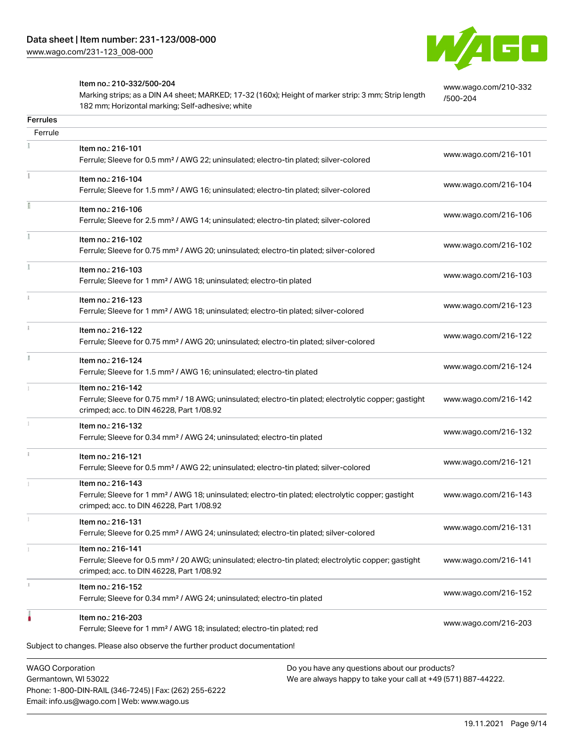

[www.wago.com/210-332](http://www.wago.com/210-332/500-204)

[/500-204](http://www.wago.com/210-332/500-204)

#### Item no.: 210-332/500-204

Phone: 1-800-DIN-RAIL (346-7245) | Fax: (262) 255-6222

Email: info.us@wago.com | Web: www.wago.us

Marking strips; as a DIN A4 sheet; MARKED; 17-32 (160x); Height of marker strip: 3 mm; Strip length 182 mm; Horizontal marking; Self-adhesive; white

| <b>Ferrules</b>                                 |                                                                                                                                                                                    |                                                                                                                |                      |
|-------------------------------------------------|------------------------------------------------------------------------------------------------------------------------------------------------------------------------------------|----------------------------------------------------------------------------------------------------------------|----------------------|
| Ferrule                                         |                                                                                                                                                                                    |                                                                                                                |                      |
|                                                 | Item no.: 216-101<br>Ferrule; Sleeve for 0.5 mm <sup>2</sup> / AWG 22; uninsulated; electro-tin plated; silver-colored                                                             |                                                                                                                | www.wago.com/216-101 |
|                                                 | Item no.: 216-104<br>Ferrule; Sleeve for 1.5 mm <sup>2</sup> / AWG 16; uninsulated; electro-tin plated; silver-colored                                                             |                                                                                                                | www.wago.com/216-104 |
|                                                 | Item no.: 216-106<br>Ferrule; Sleeve for 2.5 mm <sup>2</sup> / AWG 14; uninsulated; electro-tin plated; silver-colored                                                             |                                                                                                                | www.wago.com/216-106 |
| Ĭ.                                              | Item no.: 216-102<br>Ferrule; Sleeve for 0.75 mm <sup>2</sup> / AWG 20; uninsulated; electro-tin plated; silver-colored                                                            |                                                                                                                | www.wago.com/216-102 |
|                                                 | Item no.: 216-103<br>Ferrule; Sleeve for 1 mm <sup>2</sup> / AWG 18; uninsulated; electro-tin plated                                                                               |                                                                                                                | www.wago.com/216-103 |
| i.                                              | Item no.: 216-123<br>Ferrule; Sleeve for 1 mm <sup>2</sup> / AWG 18; uninsulated; electro-tin plated; silver-colored                                                               |                                                                                                                | www.wago.com/216-123 |
| i.                                              | Item no.: 216-122<br>Ferrule; Sleeve for 0.75 mm <sup>2</sup> / AWG 20; uninsulated; electro-tin plated; silver-colored                                                            |                                                                                                                | www.wago.com/216-122 |
| I.                                              | Item no.: 216-124<br>Ferrule; Sleeve for 1.5 mm <sup>2</sup> / AWG 16; uninsulated; electro-tin plated                                                                             |                                                                                                                | www.wago.com/216-124 |
|                                                 | Item no.: 216-142<br>Ferrule; Sleeve for 0.75 mm <sup>2</sup> / 18 AWG; uninsulated; electro-tin plated; electrolytic copper; gastight<br>crimped; acc. to DIN 46228, Part 1/08.92 |                                                                                                                | www.wago.com/216-142 |
|                                                 | Item no.: 216-132<br>Ferrule; Sleeve for 0.34 mm <sup>2</sup> / AWG 24; uninsulated; electro-tin plated                                                                            |                                                                                                                | www.wago.com/216-132 |
| î.                                              | Item no.: 216-121<br>Ferrule; Sleeve for 0.5 mm <sup>2</sup> / AWG 22; uninsulated; electro-tin plated; silver-colored                                                             |                                                                                                                | www.wago.com/216-121 |
| 1                                               | Item no.: 216-143<br>Ferrule; Sleeve for 1 mm <sup>2</sup> / AWG 18; uninsulated; electro-tin plated; electrolytic copper; gastight<br>crimped; acc. to DIN 46228, Part 1/08.92    |                                                                                                                | www.wago.com/216-143 |
|                                                 | Item no.: 216-131<br>Ferrule; Sleeve for 0.25 mm <sup>2</sup> / AWG 24; uninsulated; electro-tin plated; silver-colored                                                            |                                                                                                                | www.wago.com/216-131 |
|                                                 | Item no.: 216-141<br>Ferrule; Sleeve for 0.5 mm <sup>2</sup> / 20 AWG; uninsulated; electro-tin plated; electrolytic copper; gastight<br>crimped; acc. to DIN 46228, Part 1/08.92  |                                                                                                                | www.wago.com/216-141 |
|                                                 | Item no.: 216-152<br>Ferrule; Sleeve for 0.34 mm <sup>2</sup> / AWG 24; uninsulated; electro-tin plated                                                                            |                                                                                                                | www.wago.com/216-152 |
|                                                 | Item no.: 216-203<br>Ferrule; Sleeve for 1 mm <sup>2</sup> / AWG 18; insulated; electro-tin plated; red                                                                            |                                                                                                                | www.wago.com/216-203 |
|                                                 | Subject to changes. Please also observe the further product documentation!                                                                                                         |                                                                                                                |                      |
| <b>WAGO Corporation</b><br>Germantown, WI 53022 |                                                                                                                                                                                    | Do you have any questions about our products?<br>We are always happy to take your call at +49 (571) 887-44222. |                      |

19.11.2021 Page 9/14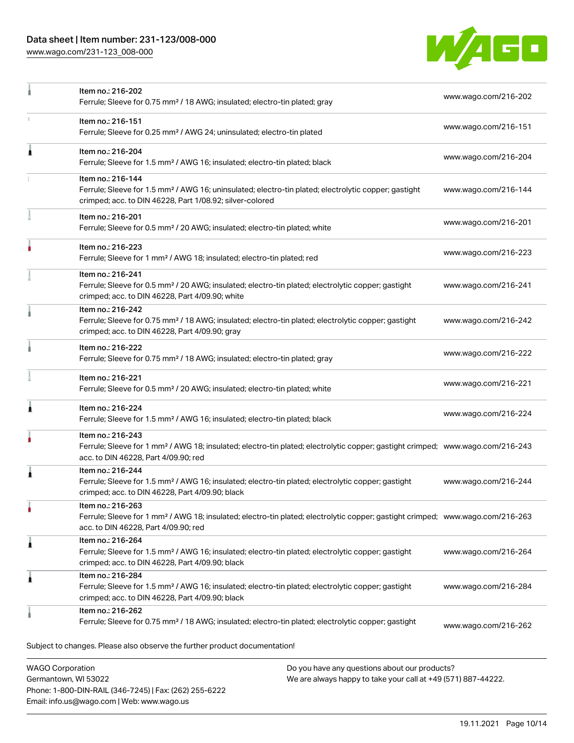## Data sheet | Item number: 231-123/008-000

[www.wago.com/231-123\\_008-000](http://www.wago.com/231-123_008-000)

Email: info.us@wago.com | Web: www.wago.us



|                                                 | Item no.: 216-202<br>Ferrule; Sleeve for 0.75 mm <sup>2</sup> / 18 AWG; insulated; electro-tin plated; gray                                                                                             |                                                                                                                | www.wago.com/216-202 |
|-------------------------------------------------|---------------------------------------------------------------------------------------------------------------------------------------------------------------------------------------------------------|----------------------------------------------------------------------------------------------------------------|----------------------|
|                                                 | Item no.: 216-151<br>Ferrule; Sleeve for 0.25 mm <sup>2</sup> / AWG 24; uninsulated; electro-tin plated                                                                                                 |                                                                                                                | www.wago.com/216-151 |
| Ă                                               | Item no.: 216-204<br>Ferrule; Sleeve for 1.5 mm <sup>2</sup> / AWG 16; insulated; electro-tin plated; black                                                                                             |                                                                                                                | www.wago.com/216-204 |
|                                                 | Item no.: 216-144<br>Ferrule; Sleeve for 1.5 mm <sup>2</sup> / AWG 16; uninsulated; electro-tin plated; electrolytic copper; gastight<br>crimped; acc. to DIN 46228, Part 1/08.92; silver-colored       |                                                                                                                | www.wago.com/216-144 |
|                                                 | Item no.: 216-201<br>Ferrule; Sleeve for 0.5 mm <sup>2</sup> / 20 AWG; insulated; electro-tin plated; white                                                                                             |                                                                                                                | www.wago.com/216-201 |
|                                                 | Item no.: 216-223<br>Ferrule; Sleeve for 1 mm <sup>2</sup> / AWG 18; insulated; electro-tin plated; red                                                                                                 |                                                                                                                | www.wago.com/216-223 |
|                                                 | Item no.: 216-241<br>Ferrule; Sleeve for 0.5 mm <sup>2</sup> / 20 AWG; insulated; electro-tin plated; electrolytic copper; gastight<br>crimped; acc. to DIN 46228, Part 4/09.90; white                  |                                                                                                                | www.wago.com/216-241 |
|                                                 | Item no.: 216-242<br>Ferrule; Sleeve for 0.75 mm <sup>2</sup> / 18 AWG; insulated; electro-tin plated; electrolytic copper; gastight<br>crimped; acc. to DIN 46228, Part 4/09.90; gray                  |                                                                                                                | www.wago.com/216-242 |
|                                                 | Item no.: 216-222<br>Ferrule; Sleeve for 0.75 mm <sup>2</sup> / 18 AWG; insulated; electro-tin plated; gray                                                                                             |                                                                                                                | www.wago.com/216-222 |
|                                                 | Item no.: 216-221<br>Ferrule; Sleeve for 0.5 mm <sup>2</sup> / 20 AWG; insulated; electro-tin plated; white                                                                                             |                                                                                                                | www.wago.com/216-221 |
|                                                 | Item no.: 216-224<br>Ferrule; Sleeve for 1.5 mm <sup>2</sup> / AWG 16; insulated; electro-tin plated; black                                                                                             |                                                                                                                | www.wago.com/216-224 |
|                                                 | Item no.: 216-243<br>Ferrule; Sleeve for 1 mm <sup>2</sup> / AWG 18; insulated; electro-tin plated; electrolytic copper; gastight crimped; www.wago.com/216-243<br>acc. to DIN 46228, Part 4/09.90; red |                                                                                                                |                      |
|                                                 | Item no.: 216-244<br>Ferrule; Sleeve for 1.5 mm <sup>2</sup> / AWG 16; insulated; electro-tin plated; electrolytic copper; gastight<br>crimped; acc. to DIN 46228, Part 4/09.90; black                  |                                                                                                                | www.wago.com/216-244 |
| ٠                                               | Item no.: 216-263<br>Ferrule; Sleeve for 1 mm <sup>2</sup> / AWG 18; insulated; electro-tin plated; electrolytic copper; gastight crimped; www.wago.com/216-263<br>acc. to DIN 46228, Part 4/09.90; red |                                                                                                                |                      |
| 1                                               | Item no.: 216-264<br>Ferrule; Sleeve for 1.5 mm <sup>2</sup> / AWG 16; insulated; electro-tin plated; electrolytic copper; gastight<br>crimped; acc. to DIN 46228, Part 4/09.90; black                  |                                                                                                                | www.wago.com/216-264 |
| Â                                               | Item no.: 216-284<br>Ferrule; Sleeve for 1.5 mm <sup>2</sup> / AWG 16; insulated; electro-tin plated; electrolytic copper; gastight<br>crimped; acc. to DIN 46228, Part 4/09.90; black                  |                                                                                                                | www.wago.com/216-284 |
|                                                 | Item no.: 216-262<br>Ferrule; Sleeve for 0.75 mm <sup>2</sup> / 18 AWG; insulated; electro-tin plated; electrolytic copper; gastight                                                                    |                                                                                                                | www.wago.com/216-262 |
|                                                 | Subject to changes. Please also observe the further product documentation!                                                                                                                              |                                                                                                                |                      |
| <b>WAGO Corporation</b><br>Germantown, WI 53022 | Phone: 1-800-DIN-RAIL (346-7245)   Fax: (262) 255-6222                                                                                                                                                  | Do you have any questions about our products?<br>We are always happy to take your call at +49 (571) 887-44222. |                      |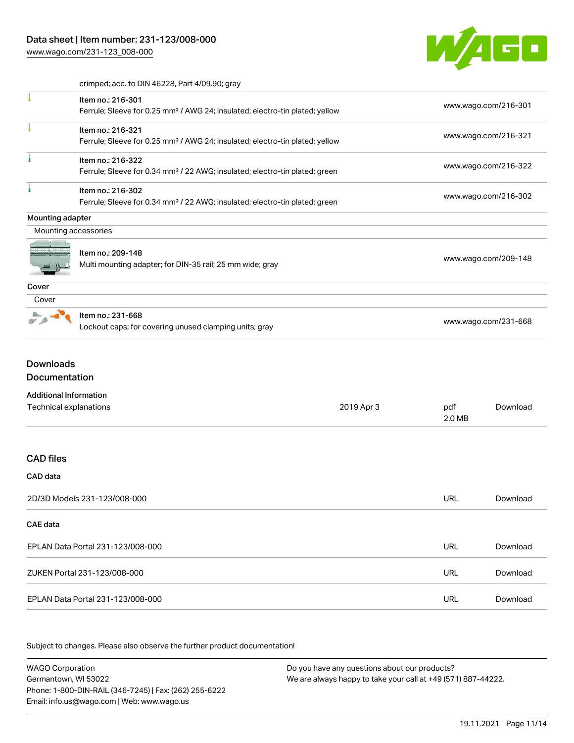

crimped; acc. to DIN 46228, Part 4/09.90; gray

|                      | Item no.: 216-301                                                                        | www.wago.com/216-301 |
|----------------------|------------------------------------------------------------------------------------------|----------------------|
|                      | Ferrule; Sleeve for 0.25 mm <sup>2</sup> / AWG 24; insulated; electro-tin plated; yellow |                      |
|                      | Item no.: 216-321                                                                        | www.wago.com/216-321 |
|                      | Ferrule; Sleeve for 0.25 mm <sup>2</sup> / AWG 24; insulated; electro-tin plated; yellow |                      |
| ٠                    | Item no.: 216-322                                                                        |                      |
|                      | Ferrule; Sleeve for 0.34 mm <sup>2</sup> / 22 AWG; insulated; electro-tin plated; green  | www.wago.com/216-322 |
|                      | Item no.: 216-302                                                                        |                      |
|                      | Ferrule; Sleeve for 0.34 mm <sup>2</sup> / 22 AWG; insulated; electro-tin plated; green  | www.wago.com/216-302 |
| Mounting adapter     |                                                                                          |                      |
| Mounting accessories |                                                                                          |                      |
|                      | Item no.: 209-148                                                                        |                      |
|                      | Multi mounting adapter; for DIN-35 rail; 25 mm wide; gray                                | www.wago.com/209-148 |
|                      |                                                                                          |                      |
| Cover                |                                                                                          |                      |
| Cover                |                                                                                          |                      |
|                      |                                                                                          |                      |
|                      | Item no.: 231-668                                                                        | www.wago.com/231-668 |

Documentation

| <b>Additional Information</b> |  |
|-------------------------------|--|
|-------------------------------|--|

| Technical explanations            | 2019 Apr 3 | pdf<br>2.0 MB | Download |
|-----------------------------------|------------|---------------|----------|
|                                   |            |               |          |
| <b>CAD files</b>                  |            |               |          |
| CAD data                          |            |               |          |
| 2D/3D Models 231-123/008-000      |            | <b>URL</b>    | Download |
| CAE data                          |            |               |          |
| EPLAN Data Portal 231-123/008-000 |            | <b>URL</b>    | Download |
| ZUKEN Portal 231-123/008-000      |            | <b>URL</b>    | Download |
| EPLAN Data Portal 231-123/008-000 |            | URL           | Download |

Subject to changes. Please also observe the further product documentation!

WAGO Corporation Germantown, WI 53022 Phone: 1-800-DIN-RAIL (346-7245) | Fax: (262) 255-6222 Email: info.us@wago.com | Web: www.wago.us Do you have any questions about our products? We are always happy to take your call at +49 (571) 887-44222.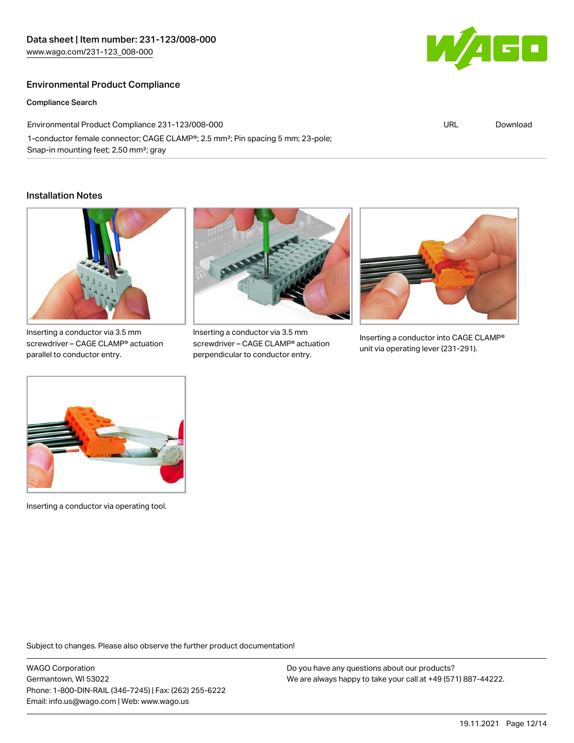### Environmental Product Compliance

Compliance Search

Environmental Product Compliance 231-123/008-000 1-conductor female connector; CAGE CLAMP®; 2.5 mm²; Pin spacing 5 mm; 23-pole; Snap-in mounting feet; 2,50 mm²; gray

#### Installation Notes



screwdriver – CAGE CLAMP® actuation parallel to conductor entry.



Inserting a conductor via 3.5 mm screwdriver – CAGE CLAMP® actuation perpendicular to conductor entry.



Inserting a conductor into CAGE CLAMP® unit via operating lever (231-291).



Inserting a conductor via operating tool.

Subject to changes. Please also observe the further product documentation!

WAGO Corporation Germantown, WI 53022 Phone: 1-800-DIN-RAIL (346-7245) | Fax: (262) 255-6222 Email: info.us@wago.com | Web: www.wago.us

Do you have any questions about our products? We are always happy to take your call at +49 (571) 887-44222.



URL [Download](https://www.wago.com/global/d/ComplianceLinkMediaContainer_231-123_008-000)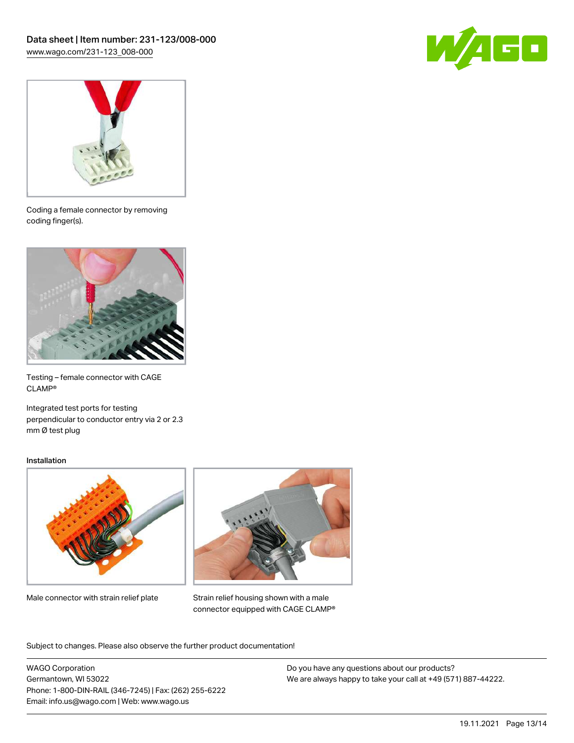



Coding a female connector by removing coding finger(s).



Testing – female connector with CAGE CLAMP®

Integrated test ports for testing perpendicular to conductor entry via 2 or 2.3 mm Ø test plug

#### Installation



Male connector with strain relief plate



Strain relief housing shown with a male connector equipped with CAGE CLAMP®

Subject to changes. Please also observe the further product documentation!

WAGO Corporation Germantown, WI 53022 Phone: 1-800-DIN-RAIL (346-7245) | Fax: (262) 255-6222 Email: info.us@wago.com | Web: www.wago.us